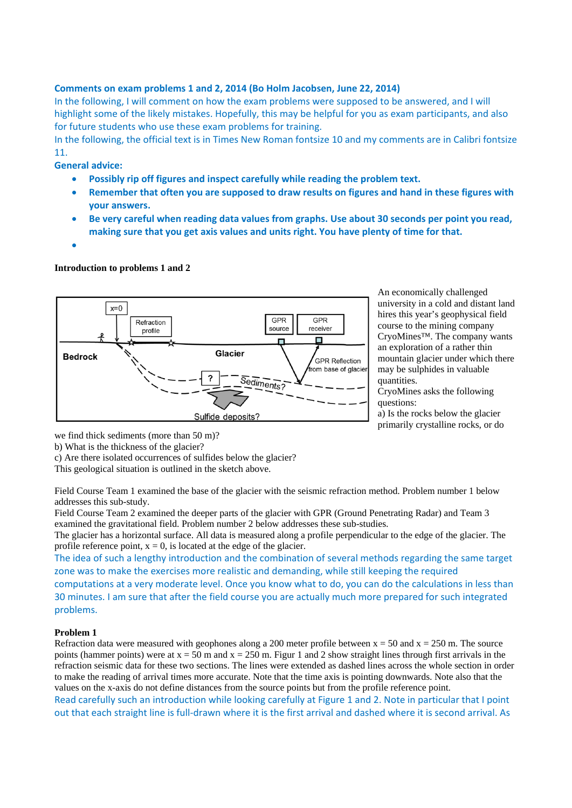## **Comments on exam problems 1 and 2, 2014 (Bo Holm Jacobsen, June 22, 2014)**

In the following, I will comment on how the exam problems were supposed to be answered, and I will highlight some of the likely mistakes. Hopefully, this may be helpful for you as exam participants, and also for future students who use these exam problems for training.

In the following, the official text is in Times New Roman fontsize 10 and my comments are in Calibri fontsize 11.

**General advice:**

- **Possibly rip off figures and inspect carefully while reading the problem text.**
- **Remember that often you are supposed to draw results on figures and hand in these figures with your answers.**
- **Be very careful when reading data values from graphs. Use about 30 seconds per point you read, making sure that you get axis values and units right. You have plenty of time for that.**
- $\bullet$

## **Introduction to problems 1 and 2**



An economically challenged university in a cold and distant land hires this year's geophysical field course to the mining company CryoMines™. The company wants an exploration of a rather thin mountain glacier under which there may be sulphides in valuable quantities.

CryoMines asks the following questions:

a) Is the rocks below the glacier primarily crystalline rocks, or do

we find thick sediments (more than 50 m)?

b) What is the thickness of the glacier?

c) Are there isolated occurrences of sulfides below the glacier?

This geological situation is outlined in the sketch above.

Field Course Team 1 examined the base of the glacier with the seismic refraction method. Problem number 1 below addresses this sub-study.

Field Course Team 2 examined the deeper parts of the glacier with GPR (Ground Penetrating Radar) and Team 3 examined the gravitational field. Problem number 2 below addresses these sub-studies.

The glacier has a horizontal surface. All data is measured along a profile perpendicular to the edge of the glacier. The profile reference point,  $x = 0$ , is located at the edge of the glacier.

The idea of such a lengthy introduction and the combination of several methods regarding the same target zone was to make the exercises more realistic and demanding, while still keeping the required computations at a very moderate level. Once you know what to do, you can do the calculations in less than 30 minutes. I am sure that after the field course you are actually much more prepared for such integrated problems.

## **Problem 1**

Refraction data were measured with geophones along a 200 meter profile between  $x = 50$  and  $x = 250$  m. The source points (hammer points) were at  $x = 50$  m and  $x = 250$  m. Figur 1 and 2 show straight lines through first arrivals in the refraction seismic data for these two sections. The lines were extended as dashed lines across the whole section in order to make the reading of arrival times more accurate. Note that the time axis is pointing downwards. Note also that the values on the x-axis do not define distances from the source points but from the profile reference point. Read carefully such an introduction while looking carefully at Figure 1 and 2. Note in particular that I point

out that each straight line is full‐drawn where it is the first arrival and dashed where it is second arrival. As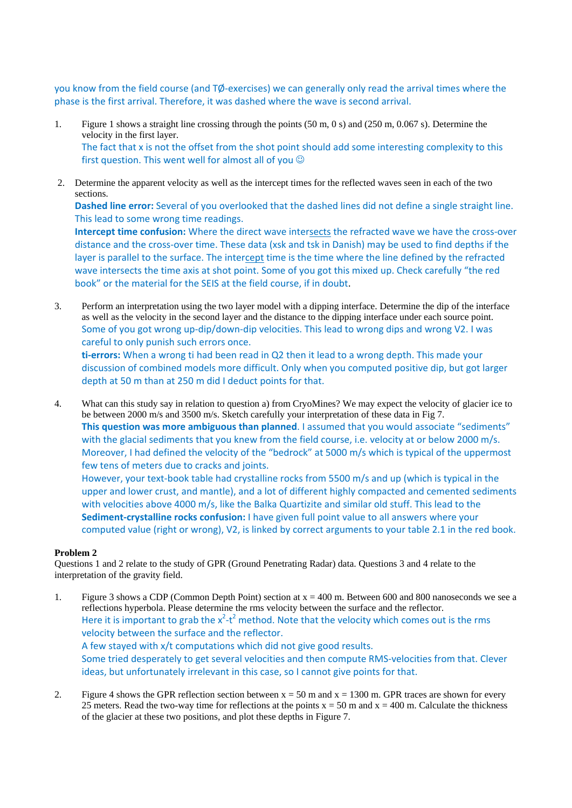you know from the field course (and TØ-exercises) we can generally only read the arrival times where the phase is the first arrival. Therefore, it was dashed where the wave is second arrival.

- 1. Figure 1 shows a straight line crossing through the points (50 m, 0 s) and (250 m, 0.067 s). Determine the velocity in the first layer. The fact that x is not the offset from the shot point should add some interesting complexity to this first question. This went well for almost all of you  $\odot$
- 2. Determine the apparent velocity as well as the intercept times for the reflected waves seen in each of the two sections.

**Dashed line error:** Several of you overlooked that the dashed lines did not define a single straight line. This lead to some wrong time readings.

**Intercept time confusion:** Where the direct wave intersects the refracted wave we have the cross‐over distance and the cross‐over time. These data (xsk and tsk in Danish) may be used to find depths if the layer is parallel to the surface. The intercept time is the time where the line defined by the refracted wave intersects the time axis at shot point. Some of you got this mixed up. Check carefully "the red book" or the material for the SEIS at the field course, if in doubt.

3. Perform an interpretation using the two layer model with a dipping interface. Determine the dip of the interface as well as the velocity in the second layer and the distance to the dipping interface under each source point. Some of you got wrong up-dip/down-dip velocities. This lead to wrong dips and wrong V2. I was careful to only punish such errors once.

**ti‐errors:** When a wrong ti had been read in Q2 then it lead to a wrong depth. This made your discussion of combined models more difficult. Only when you computed positive dip, but got larger depth at 50 m than at 250 m did I deduct points for that.

4. What can this study say in relation to question a) from CryoMines? We may expect the velocity of glacier ice to be between 2000 m/s and 3500 m/s. Sketch carefully your interpretation of these data in Fig 7. **This question was more ambiguous than planned**. I assumed that you would associate "sediments" with the glacial sediments that you knew from the field course, i.e. velocity at or below 2000 m/s. Moreover, I had defined the velocity of the "bedrock" at 5000 m/s which is typical of the uppermost few tens of meters due to cracks and joints.

However, your text-book table had crystalline rocks from 5500 m/s and up (which is typical in the upper and lower crust, and mantle), and a lot of different highly compacted and cemented sediments with velocities above 4000 m/s, like the Balka Quartizite and similar old stuff. This lead to the **Sediment‐crystalline rocks confusion:** I have given full point value to all answers where your computed value (right or wrong), V2, is linked by correct arguments to your table 2.1 in the red book.

## **Problem 2**

Questions 1 and 2 relate to the study of GPR (Ground Penetrating Radar) data. Questions 3 and 4 relate to the interpretation of the gravity field.

- 1. Figure 3 shows a CDP (Common Depth Point) section at x = 400 m. Between 600 and 800 nanoseconds we see a reflections hyperbola. Please determine the rms velocity between the surface and the reflector. Here it is important to grab the  $x^2-t^2$  method. Note that the velocity which comes out is the rms velocity between the surface and the reflector. A few stayed with x/t computations which did not give good results. Some tried desperately to get several velocities and then compute RMS‐velocities from that. Clever ideas, but unfortunately irrelevant in this case, so I cannot give points for that.
- 2. Figure 4 shows the GPR reflection section between  $x = 50$  m and  $x = 1300$  m. GPR traces are shown for every 25 meters. Read the two-way time for reflections at the points  $x = 50$  m and  $x = 400$  m. Calculate the thickness of the glacier at these two positions, and plot these depths in Figure 7.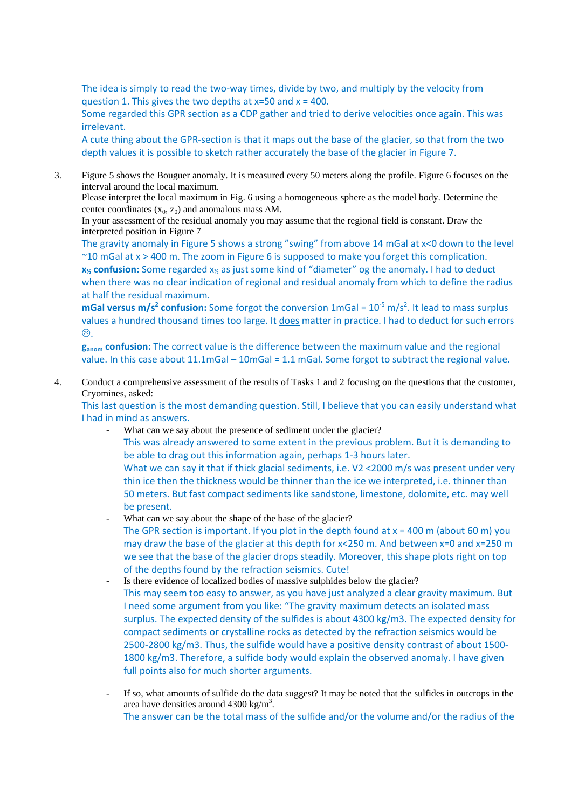The idea is simply to read the two-way times, divide by two, and multiply by the velocity from question 1. This gives the two depths at  $x=50$  and  $x = 400$ .

Some regarded this GPR section as a CDP gather and tried to derive velocities once again. This was irrelevant.

A cute thing about the GPR‐section is that it maps out the base of the glacier, so that from the two depth values it is possible to sketch rather accurately the base of the glacier in Figure 7.

3. Figure 5 shows the Bouguer anomaly. It is measured every 50 meters along the profile. Figure 6 focuses on the interval around the local maximum.

Please interpret the local maximum in Fig. 6 using a homogeneous sphere as the model body. Determine the center coordinates  $(x_0, z_0)$  and anomalous mass  $\Delta M$ .

In your assessment of the residual anomaly you may assume that the regional field is constant. Draw the interpreted position in Figure 7

The gravity anomaly in Figure 5 shows a strong "swing" from above 14 mGal at x<0 down to the level  $\sim$ 10 mGal at x > 400 m. The zoom in Figure 6 is supposed to make you forget this complication. **x½ confusion:** Some regarded x½ as just some kind of "diameter" og the anomaly. I had to deduct when there was no clear indication of regional and residual anomaly from which to define the radius at half the residual maximum.

**mGal versus m/s<sup>2</sup> confusion:** Some forgot the conversion 1mGal = 10<sup>-5</sup> m/s<sup>2</sup>. It lead to mass surplus values a hundred thousand times too large. It does matter in practice. I had to deduct for such errors  $\odot$ .

**ganom confusion:** The correct value is the difference between the maximum value and the regional value. In this case about 11.1mGal – 10mGal = 1.1 mGal. Some forgot to subtract the regional value.

4. Conduct a comprehensive assessment of the results of Tasks 1 and 2 focusing on the questions that the customer, Cryomines, asked:

This last question is the most demanding question. Still, I believe that you can easily understand what I had in mind as answers.

What can we say about the presence of sediment under the glacier? This was already answered to some extent in the previous problem. But it is demanding to be able to drag out this information again, perhaps 1‐3 hours later. What we can say it that if thick glacial sediments, i.e. V2 <2000 m/s was present under very thin ice then the thickness would be thinner than the ice we interpreted, i.e. thinner than 50 meters. But fast compact sediments like sandstone, limestone, dolomite, etc. may well

be present. What can we say about the shape of the base of the glacier?

- The GPR section is important. If you plot in the depth found at  $x = 400$  m (about 60 m) you may draw the base of the glacier at this depth for  $x < 250$  m. And between  $x=0$  and  $x=250$  m we see that the base of the glacier drops steadily. Moreover, this shape plots right on top of the depths found by the refraction seismics. Cute!
- Is there evidence of localized bodies of massive sulphides below the glacier? This may seem too easy to answer, as you have just analyzed a clear gravity maximum. But I need some argument from you like: "The gravity maximum detects an isolated mass surplus. The expected density of the sulfides is about 4300 kg/m3. The expected density for compact sediments or crystalline rocks as detected by the refraction seismics would be 2500-2800 kg/m3. Thus, the sulfide would have a positive density contrast of about 1500-1800 kg/m3. Therefore, a sulfide body would explain the observed anomaly. I have given full points also for much shorter arguments.
- If so, what amounts of sulfide do the data suggest? It may be noted that the sulfides in outcrops in the area have densities around  $4300 \text{ kg/m}^3$ . The answer can be the total mass of the sulfide and/or the volume and/or the radius of the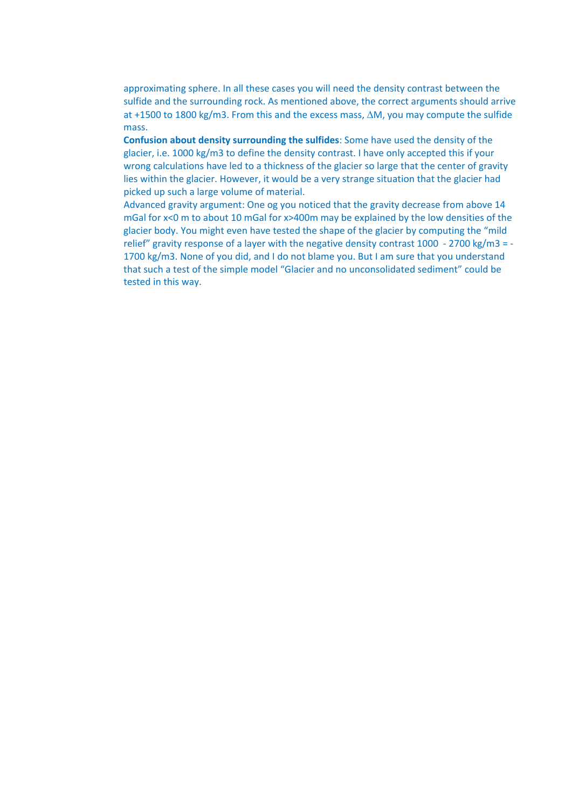approximating sphere. In all these cases you will need the density contrast between the sulfide and the surrounding rock. As mentioned above, the correct arguments should arrive at +1500 to 1800 kg/m3. From this and the excess mass,  $\Delta M$ , you may compute the sulfide mass.

**Confusion about density surrounding the sulfides**: Some have used the density of the glacier, i.e. 1000 kg/m3 to define the density contrast. I have only accepted this if your wrong calculations have led to a thickness of the glacier so large that the center of gravity lies within the glacier. However, it would be a very strange situation that the glacier had picked up such a large volume of material.

Advanced gravity argument: One og you noticed that the gravity decrease from above 14 mGal for x<0 m to about 10 mGal for x>400m may be explained by the low densities of the glacier body. You might even have tested the shape of the glacier by computing the "mild relief" gravity response of a layer with the negative density contrast 1000 ‐ 2700 kg/m3 = ‐ 1700 kg/m3. None of you did, and I do not blame you. But I am sure that you understand that such a test of the simple model "Glacier and no unconsolidated sediment" could be tested in this way.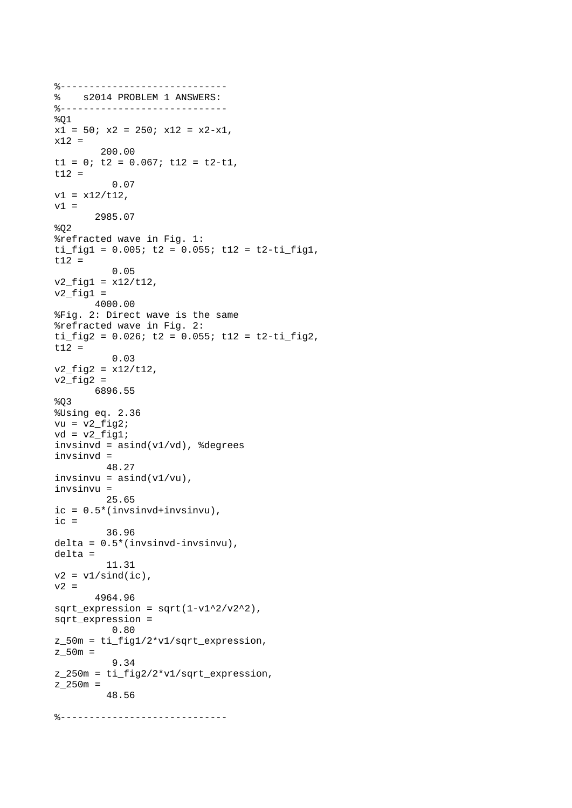```
%----------------------------- 
% s2014 PROBLEM 1 ANSWERS: 
%----------------------------- 
801x1 = 50; x2 = 250; x12 = x2-x1,
x12 = 200.00 
t1 = 0; t2 = 0.067; t12 = t2-t1,t12 = 
           0.07 
v1 = x12/t12,
v1 = 2985.07 
802%refracted wave in Fig. 1: 
ti fig1 = 0.005; t2 = 0.055; t12 = t2-ti fig1,
t12 = 
           0.05 
v2_{\text{rig1}} = x12/t12,
v2_fig1 =
        4000.00 
%Fig. 2: Direct wave is the same 
%refracted wave in Fig. 2: 
ti fig2 = 0.026; t2 = 0.055; t12 = t2-ti fig2,
t12 = 
           0.03 
v2_fig2 = x12/t12,
v2_fig2 =
       6896.55 
8Q3%Using eq. 2.36 
vu = v2_fig2;
vd = v2_fig1;
invsinvd = asind(v1/vd), %degrees
invsinvd = 
          48.27 
invsum = a sind(v1/vu),
invsinvu = 
          25.65 
ic = 0.5*(invsinvd+invsinvu), 
ic = 36.96 
delta = 0.5*(invsinvd-invsinvu), 
delta = 
          11.31 
v2 = v1/sind(ic),
v2 = 4964.96 
sqrt_expression = sqrt(1-v1^2/v2^2),
sqrt_expression = 
           0.80 
z_50m = ti_fig1/2*v1/sqrt_expression, 
z_{50m} =
           9.34 
z_250m = ti_fig2/2*v1/sqrt_expression, 
z_{250m} =
          48.56 
%-----------------------------
```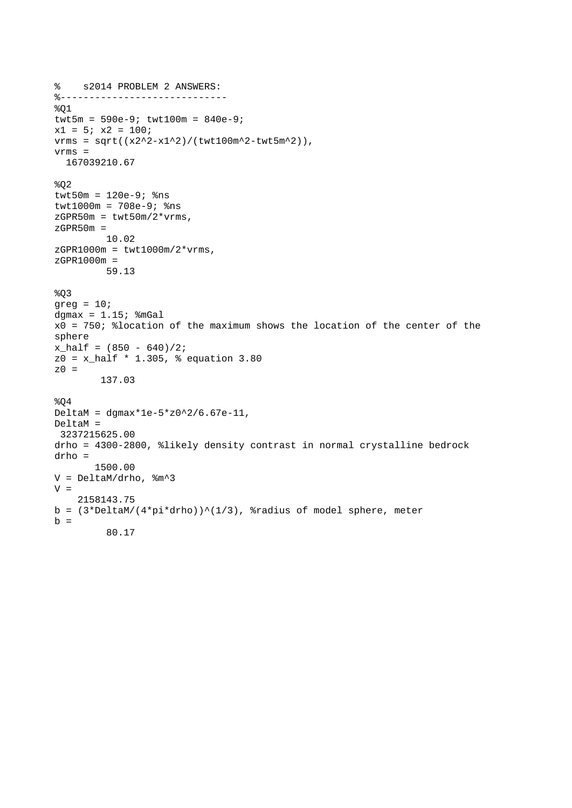```
% s2014 PROBLEM 2 ANSWERS: 
%----------------------------- 
\$Q1twt5m = 590e-9; twt100m = 840e-9;
x1 = 5; x2 = 100;vrms = sqrt((x2^2-x1^2)/(twt100m^2-twt5m^2)),vrms = 
  167039210.67 
8Q2twt50m = 120e-9; 8nstwt1000m = 708e-9; %ns 
zGPR50m = twt50m/2*vrms,zGPR50m = 10.02 
zGPR1000m = twt1000m/2*vrms,zGPR1000m = 
          59.13 
%Q3 
qreq = 10;dgmax = 1.15; \text{ImGal}x0 = 750; %location of the maximum shows the location of the center of the 
sphere 
x half = (850 - 640)/2;
z0 = x_half * 1.305, % equation 3.80 
z0 = 137.03 
804DeltaM = dgmax*1e-5*z0^2/6.67e-11, 
DeltaM = 
  3237215625.00 
drho = 4300-2800, %likely density contrast in normal crystalline bedrock 
drho = 
        1500.00 
V = DeltaM/drho, %m^3 
V = 2158143.75 
b = (3 * \Delta M / (4 * \pi * d \text{rho})) (1/3), %radius of model sphere, meter
b = 80.17
```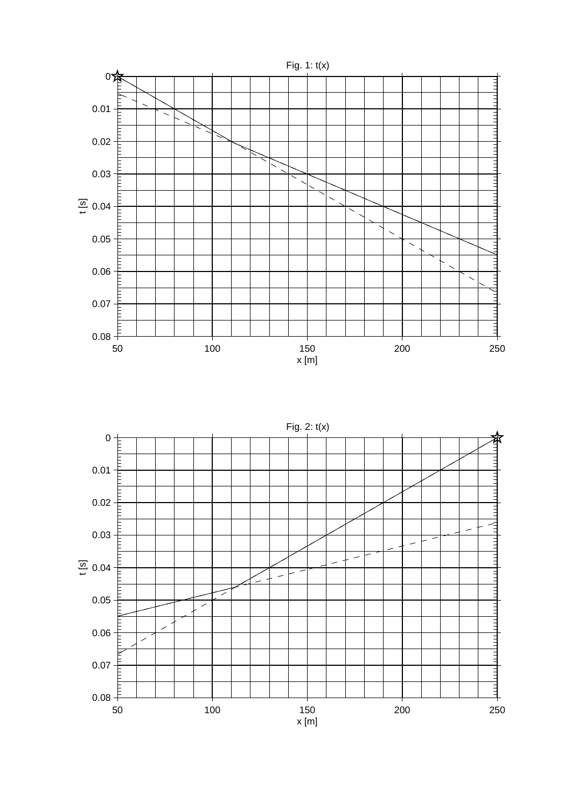

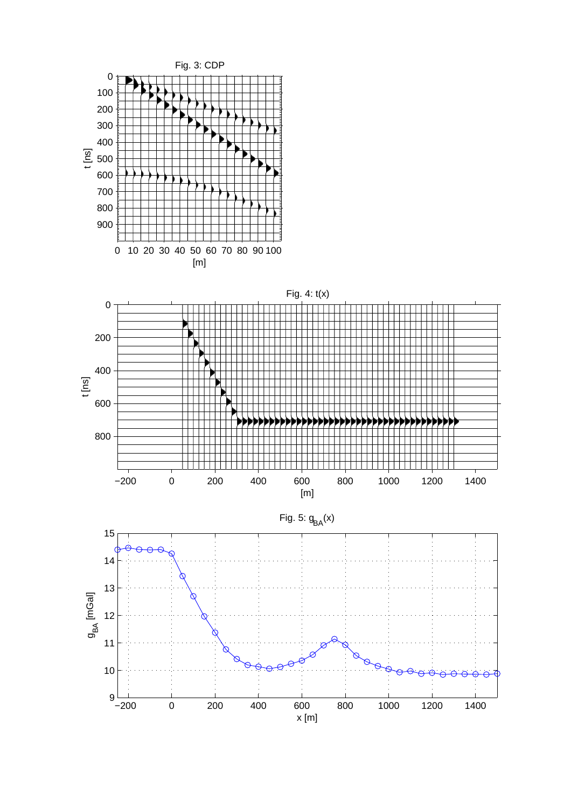